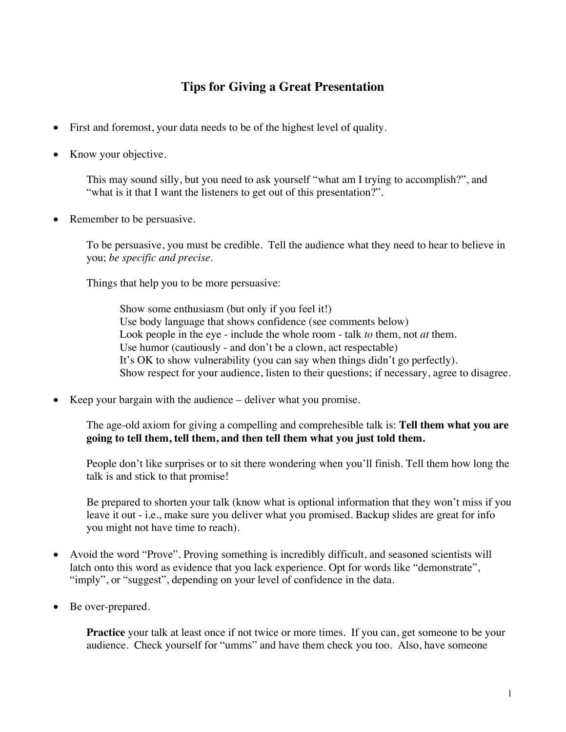## **Tips for Giving a Great Presentation**

- First and foremost, your data needs to be of the highest level of quality.
- Know your objective.

This may sound silly, but you need to ask yourself "what am I trying to accomplish?", and "what is it that I want the listeners to get out of this presentation?".

• Remember to be persuasive.

To be persuasive, you must be credible. Tell the audience what they need to hear to believe in you; *be specific and precise*.

Things that help you to be more persuasive:

Show some enthusiasm (but only if you feel it!) Use body language that shows confidence (see comments below) Look people in the eye - include the whole room - talk *to* them, not *at* them. Use humor (cautiously - and don't be a clown, act respectable) It's OK to show vulnerability (you can say when things didn't go perfectly). Show respect for your audience, listen to their questions; if necessary, agree to disagree.

• Keep your bargain with the audience – deliver what you promise.

The age-old axiom for giving a compelling and comprehesible talk is: **Tell them what you are going to tell them, tell them, and then tell them what you just told them.**

People don't like surprises or to sit there wondering when you'll finish. Tell them how long the talk is and stick to that promise!

Be prepared to shorten your talk (know what is optional information that they won't miss if you leave it out - i.e., make sure you deliver what you promised. Backup slides are great for info you might not have time to reach).

- Avoid the word "Prove". Proving something is incredibly difficult, and seasoned scientists will latch onto this word as evidence that you lack experience. Opt for words like "demonstrate", "imply", or "suggest", depending on your level of confidence in the data.
- Be over-prepared.

**Practice** your talk at least once if not twice or more times. If you can, get someone to be your audience. Check yourself for "umms" and have them check you too. Also, have someone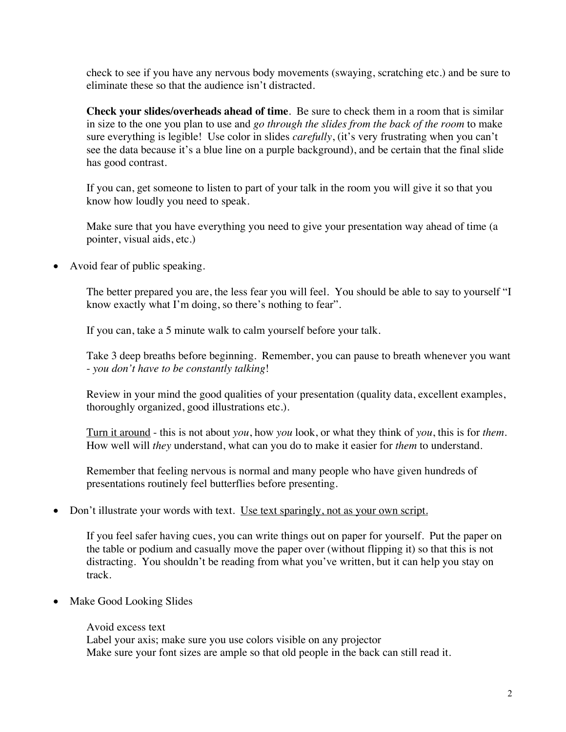check to see if you have any nervous body movements (swaying, scratching etc.) and be sure to eliminate these so that the audience isn't distracted.

**Check your slides/overheads ahead of time**. Be sure to check them in a room that is similar in size to the one you plan to use and *go through the slides from the back of the room* to make sure everything is legible! Use color in slides *carefully*, (it's very frustrating when you can't see the data because it's a blue line on a purple background), and be certain that the final slide has good contrast.

If you can, get someone to listen to part of your talk in the room you will give it so that you know how loudly you need to speak.

Make sure that you have everything you need to give your presentation way ahead of time (a pointer, visual aids, etc.)

• Avoid fear of public speaking.

The better prepared you are, the less fear you will feel. You should be able to say to yourself "I know exactly what I'm doing, so there's nothing to fear".

If you can, take a 5 minute walk to calm yourself before your talk.

Take 3 deep breaths before beginning. Remember, you can pause to breath whenever you want - *you don't have to be constantly talking*!

Review in your mind the good qualities of your presentation (quality data, excellent examples, thoroughly organized, good illustrations etc.).

Turn it around - this is not about *you*, how *you* look, or what they think of *you*, this is for *them*. How well will *they* understand, what can you do to make it easier for *them* to understand.

Remember that feeling nervous is normal and many people who have given hundreds of presentations routinely feel butterflies before presenting.

## Don't illustrate your words with text. Use text sparingly, not as your own script.

If you feel safer having cues, you can write things out on paper for yourself. Put the paper on the table or podium and casually move the paper over (without flipping it) so that this is not distracting. You shouldn't be reading from what you've written, but it can help you stay on track.

• Make Good Looking Slides

Avoid excess text Label your axis; make sure you use colors visible on any projector Make sure your font sizes are ample so that old people in the back can still read it.